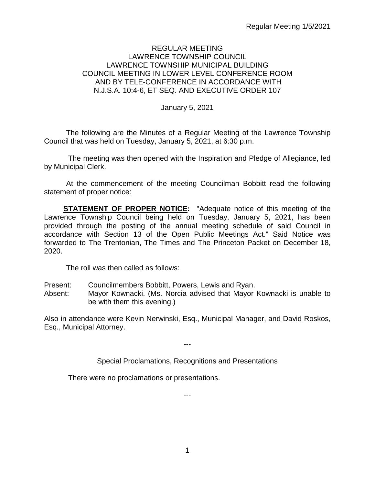#### REGULAR MEETING LAWRENCE TOWNSHIP COUNCIL LAWRENCE TOWNSHIP MUNICIPAL BUILDING COUNCIL MEETING IN LOWER LEVEL CONFERENCE ROOM AND BY TELE-CONFERENCE IN ACCORDANCE WITH N.J.S.A. 10:4-6, ET SEQ. AND EXECUTIVE ORDER 107

January 5, 2021

The following are the Minutes of a Regular Meeting of the Lawrence Township Council that was held on Tuesday, January 5, 2021, at 6:30 p.m.

The meeting was then opened with the Inspiration and Pledge of Allegiance, led by Municipal Clerk.

At the commencement of the meeting Councilman Bobbitt read the following statement of proper notice:

**STATEMENT OF PROPER NOTICE:** "Adequate notice of this meeting of the Lawrence Township Council being held on Tuesday, January 5, 2021, has been provided through the posting of the annual meeting schedule of said Council in accordance with Section 13 of the Open Public Meetings Act." Said Notice was forwarded to The Trentonian, The Times and The Princeton Packet on December 18, 2020.

The roll was then called as follows:

- Present: Councilmembers Bobbitt, Powers, Lewis and Ryan.
- Absent: Mayor Kownacki. (Ms. Norcia advised that Mayor Kownacki is unable to be with them this evening.)

Also in attendance were Kevin Nerwinski, Esq., Municipal Manager, and David Roskos, Esq., Municipal Attorney.

---

Special Proclamations, Recognitions and Presentations

There were no proclamations or presentations.

---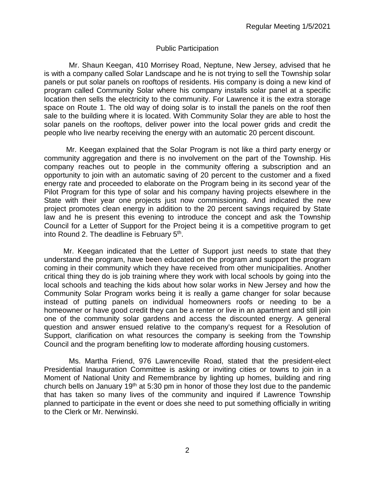### Public Participation

Mr. Shaun Keegan, 410 Morrisey Road, Neptune, New Jersey, advised that he is with a company called Solar Landscape and he is not trying to sell the Township solar panels or put solar panels on rooftops of residents. His company is doing a new kind of program called Community Solar where his company installs solar panel at a specific location then sells the electricity to the community. For Lawrence it is the extra storage space on Route 1. The old way of doing solar is to install the panels on the roof then sale to the building where it is located. With Community Solar they are able to host the solar panels on the rooftops, deliver power into the local power grids and credit the people who live nearby receiving the energy with an automatic 20 percent discount.

Mr. Keegan explained that the Solar Program is not like a third party energy or community aggregation and there is no involvement on the part of the Township. His company reaches out to people in the community offering a subscription and an opportunity to join with an automatic saving of 20 percent to the customer and a fixed energy rate and proceeded to elaborate on the Program being in its second year of the Pilot Program for this type of solar and his company having projects elsewhere in the State with their year one projects just now commissioning. And indicated the new project promotes clean energy in addition to the 20 percent savings required by State law and he is present this evening to introduce the concept and ask the Township Council for a Letter of Support for the Project being it is a competitive program to get into Round 2. The deadline is February 5th.

Mr. Keegan indicated that the Letter of Support just needs to state that they understand the program, have been educated on the program and support the program coming in their community which they have received from other municipalities. Another critical thing they do is job training where they work with local schools by going into the local schools and teaching the kids about how solar works in New Jersey and how the Community Solar Program works being it is really a game changer for solar because instead of putting panels on individual homeowners roofs or needing to be a homeowner or have good credit they can be a renter or live in an apartment and still join one of the community solar gardens and access the discounted energy. A general question and answer ensued relative to the company's request for a Resolution of Support, clarification on what resources the company is seeking from the Township Council and the program benefiting low to moderate affording housing customers.

Ms. Martha Friend, 976 Lawrenceville Road, stated that the president-elect Presidential Inauguration Committee is asking or inviting cities or towns to join in a Moment of National Unity and Remembrance by lighting up homes, building and ring church bells on January 19<sup>th</sup> at 5:30 pm in honor of those they lost due to the pandemic that has taken so many lives of the community and inquired if Lawrence Township planned to participate in the event or does she need to put something officially in writing to the Clerk or Mr. Nerwinski.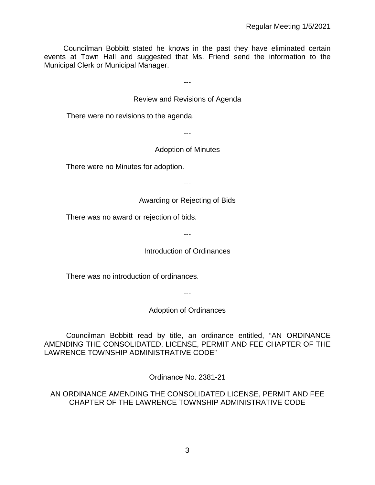Councilman Bobbitt stated he knows in the past they have eliminated certain events at Town Hall and suggested that Ms. Friend send the information to the Municipal Clerk or Municipal Manager.

---

#### Review and Revisions of Agenda

There were no revisions to the agenda.

---

#### Adoption of Minutes

There were no Minutes for adoption.

---

Awarding or Rejecting of Bids

There was no award or rejection of bids.

---

Introduction of Ordinances

There was no introduction of ordinances.

---

Adoption of Ordinances

Councilman Bobbitt read by title, an ordinance entitled, "AN ORDINANCE AMENDING THE CONSOLIDATED, LICENSE, PERMIT AND FEE CHAPTER OF THE LAWRENCE TOWNSHIP ADMINISTRATIVE CODE"

Ordinance No. 2381-21

AN ORDINANCE AMENDING THE CONSOLIDATED LICENSE, PERMIT AND FEE CHAPTER OF THE LAWRENCE TOWNSHIP ADMINISTRATIVE CODE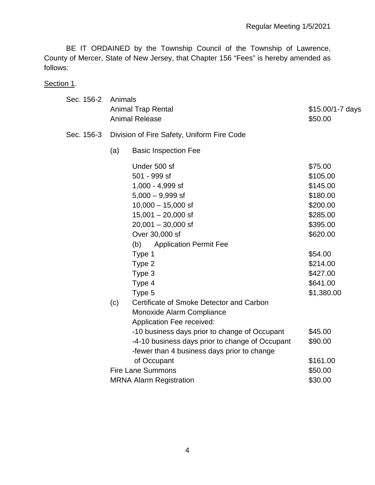BE IT ORDAINED by the Township Council of the Township of Lawrence, County of Mercer, State of New Jersey, that Chapter 156 "Fees" is hereby amended as follows:

Section 1.

| Sec. 156-2 | Animals<br><b>Animal Trap Rental</b><br>\$15.00/1-7 days<br><b>Animal Release</b><br>\$50.00 |                                                                                                                                                                                                                                                                             |                                                                                                                                                          |  |  |  |  |  |  |
|------------|----------------------------------------------------------------------------------------------|-----------------------------------------------------------------------------------------------------------------------------------------------------------------------------------------------------------------------------------------------------------------------------|----------------------------------------------------------------------------------------------------------------------------------------------------------|--|--|--|--|--|--|
| Sec. 156-3 |                                                                                              | Division of Fire Safety, Uniform Fire Code                                                                                                                                                                                                                                  |                                                                                                                                                          |  |  |  |  |  |  |
|            | (a)                                                                                          | <b>Basic Inspection Fee</b>                                                                                                                                                                                                                                                 |                                                                                                                                                          |  |  |  |  |  |  |
|            |                                                                                              | Under 500 sf<br>501 - 999 sf<br>1,000 - 4,999 sf<br>$5,000 - 9,999$ sf<br>$10,000 - 15,000$ sf<br>$15,001 - 20,000$ sf<br>$20,001 - 30,000$ sf<br>Over 30,000 sf<br><b>Application Permit Fee</b><br>(b)<br>Type 1<br>Type 2<br>Type 3<br>Type 4<br>Type 5                  | \$75.00<br>\$105.00<br>\$145.00<br>\$180.00<br>\$200.00<br>\$285.00<br>\$395.00<br>\$620.00<br>\$54.00<br>\$214.00<br>\$427.00<br>\$641.00<br>\$1,380.00 |  |  |  |  |  |  |
|            | (c)                                                                                          | Certificate of Smoke Detector and Carbon<br>Monoxide Alarm Compliance<br><b>Application Fee received:</b><br>-10 business days prior to change of Occupant<br>-4-10 business days prior to change of Occupant<br>-fewer than 4 business days prior to change<br>of Occupant | \$45.00<br>\$90.00<br>\$161.00                                                                                                                           |  |  |  |  |  |  |
|            |                                                                                              | <b>Fire Lane Summons</b><br>\$50.00                                                                                                                                                                                                                                         |                                                                                                                                                          |  |  |  |  |  |  |
|            |                                                                                              | <b>MRNA Alarm Registration</b>                                                                                                                                                                                                                                              | \$30.00                                                                                                                                                  |  |  |  |  |  |  |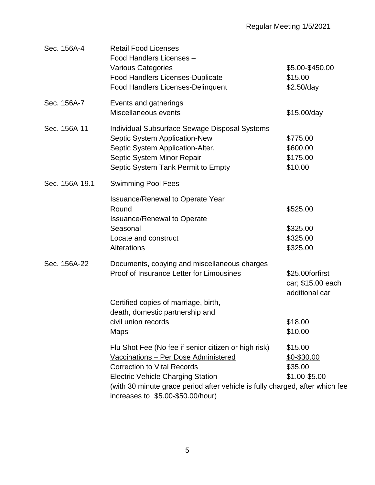| Sec. 156A-4    | <b>Retail Food Licenses</b><br>Food Handlers Licenses -<br><b>Various Categories</b><br><b>Food Handlers Licenses-Duplicate</b><br><b>Food Handlers Licenses-Delinquent</b>                                                                                                                         | \$5.00-\$450.00<br>\$15.00<br>\$2.50/day               |
|----------------|-----------------------------------------------------------------------------------------------------------------------------------------------------------------------------------------------------------------------------------------------------------------------------------------------------|--------------------------------------------------------|
| Sec. 156A-7    | Events and gatherings<br>Miscellaneous events                                                                                                                                                                                                                                                       | \$15.00/day                                            |
| Sec. 156A-11   | Individual Subsurface Sewage Disposal Systems<br>Septic System Application-New<br>Septic System Application-Alter.<br>Septic System Minor Repair<br>Septic System Tank Permit to Empty                                                                                                              | \$775.00<br>\$600.00<br>\$175.00<br>\$10.00            |
| Sec. 156A-19.1 | <b>Swimming Pool Fees</b>                                                                                                                                                                                                                                                                           |                                                        |
|                | <b>Issuance/Renewal to Operate Year</b><br>Round<br><b>Issuance/Renewal to Operate</b><br>Seasonal<br>Locate and construct<br>Alterations                                                                                                                                                           | \$525.00<br>\$325.00<br>\$325.00<br>\$325.00           |
| Sec. 156A-22   | Documents, copying and miscellaneous charges<br>Proof of Insurance Letter for Limousines<br>Certified copies of marriage, birth,                                                                                                                                                                    | \$25.00forfirst<br>car; \$15.00 each<br>additional car |
|                | death, domestic partnership and                                                                                                                                                                                                                                                                     |                                                        |
|                | civil union records<br><b>Maps</b>                                                                                                                                                                                                                                                                  | \$18.00<br>\$10.00                                     |
|                | Flu Shot Fee (No fee if senior citizen or high risk)<br>Vaccinations - Per Dose Administered<br><b>Correction to Vital Records</b><br><b>Electric Vehicle Charging Station</b><br>(with 30 minute grace period after vehicle is fully charged, after which fee<br>increases to \$5.00-\$50.00/hour) | \$15.00<br>\$0-\$30.00<br>\$35.00<br>\$1.00-\$5.00     |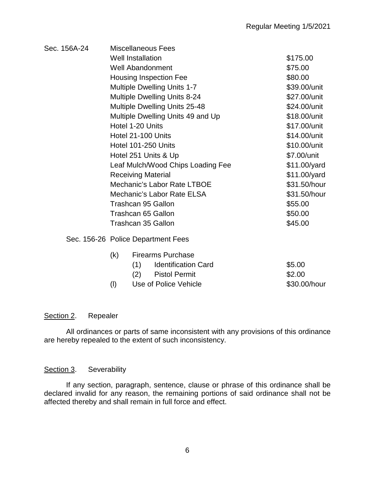| Sec. 156A-24 |           | Miscellaneous Fees                  |              |  |  |  |  |  |  |
|--------------|-----------|-------------------------------------|--------------|--|--|--|--|--|--|
|              |           | <b>Well Installation</b>            | \$175.00     |  |  |  |  |  |  |
|              |           | <b>Well Abandonment</b>             | \$75.00      |  |  |  |  |  |  |
|              |           | Housing Inspection Fee              | \$80.00      |  |  |  |  |  |  |
|              |           | <b>Multiple Dwelling Units 1-7</b>  | \$39.00/unit |  |  |  |  |  |  |
|              |           | <b>Multiple Dwelling Units 8-24</b> | \$27.00/unit |  |  |  |  |  |  |
|              |           | Multiple Dwelling Units 25-48       | \$24.00/unit |  |  |  |  |  |  |
|              |           | Multiple Dwelling Units 49 and Up   | \$18.00/unit |  |  |  |  |  |  |
|              |           | Hotel 1-20 Units                    | \$17.00/unit |  |  |  |  |  |  |
|              |           | Hotel 21-100 Units                  | \$14.00/unit |  |  |  |  |  |  |
|              |           | Hotel 101-250 Units                 | \$10.00/unit |  |  |  |  |  |  |
|              |           | Hotel 251 Units & Up                | \$7.00/unit  |  |  |  |  |  |  |
|              |           | Leaf Mulch/Wood Chips Loading Fee   | \$11.00/yard |  |  |  |  |  |  |
|              |           | <b>Receiving Material</b>           | \$11.00/yard |  |  |  |  |  |  |
|              |           | Mechanic's Labor Rate LTBOE         | \$31.50/hour |  |  |  |  |  |  |
|              |           | Mechanic's Labor Rate ELSA          | \$31.50/hour |  |  |  |  |  |  |
|              |           | <b>Trashcan 95 Gallon</b>           | \$55.00      |  |  |  |  |  |  |
|              |           | Trashcan 65 Gallon                  | \$50.00      |  |  |  |  |  |  |
|              |           | Trashcan 35 Gallon                  | \$45.00      |  |  |  |  |  |  |
|              |           | Sec. 156-26 Police Department Fees  |              |  |  |  |  |  |  |
|              | (k)       | <b>Firearms Purchase</b>            |              |  |  |  |  |  |  |
|              |           | <b>Identification Card</b><br>(1)   | \$5.00       |  |  |  |  |  |  |
|              |           | <b>Pistol Permit</b><br>(2)         | \$2.00       |  |  |  |  |  |  |
|              | $($ l $)$ | Use of Police Vehicle               | \$30.00/hour |  |  |  |  |  |  |

## Section 2. Repealer

All ordinances or parts of same inconsistent with any provisions of this ordinance are hereby repealed to the extent of such inconsistency.

#### Section 3. Severability

If any section, paragraph, sentence, clause or phrase of this ordinance shall be declared invalid for any reason, the remaining portions of said ordinance shall not be affected thereby and shall remain in full force and effect.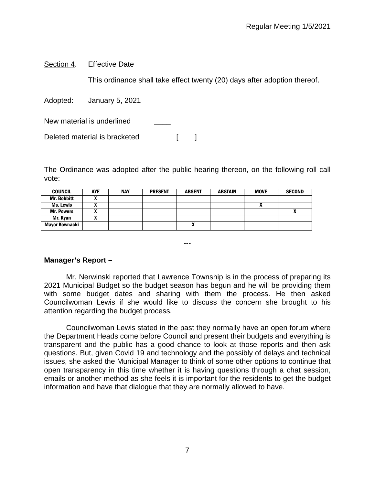Section 4. Effective Date

This ordinance shall take effect twenty (20) days after adoption thereof.

Adopted: January 5, 2021

New material is underlined

Deleted material is bracketed [ ]

The Ordinance was adopted after the public hearing thereon, on the following roll call vote:

| <b>COUNCIL</b>     | <b>AYE</b> | <b>NAY</b> | <b>PRESENT</b> | <b>ABSENT</b> | <b>ABSTAIN</b> | <b>MOVE</b> | <b>SECOND</b> |
|--------------------|------------|------------|----------------|---------------|----------------|-------------|---------------|
| <b>Mr. Bobbitt</b> |            |            |                |               |                |             |               |
| Ms. Lewis          |            |            |                |               |                | "           |               |
| <b>Mr. Powers</b>  |            |            |                |               |                |             | Λ             |
| Mr. Ryan           |            |            |                |               |                |             |               |
| Mayor Kownacki     |            |            |                | Λ             |                |             |               |

---

## **Manager's Report –**

Mr. Nerwinski reported that Lawrence Township is in the process of preparing its 2021 Municipal Budget so the budget season has begun and he will be providing them with some budget dates and sharing with them the process. He then asked Councilwoman Lewis if she would like to discuss the concern she brought to his attention regarding the budget process.

Councilwoman Lewis stated in the past they normally have an open forum where the Department Heads come before Council and present their budgets and everything is transparent and the public has a good chance to look at those reports and then ask questions. But, given Covid 19 and technology and the possibly of delays and technical issues, she asked the Municipal Manager to think of some other options to continue that open transparency in this time whether it is having questions through a chat session, emails or another method as she feels it is important for the residents to get the budget information and have that dialogue that they are normally allowed to have.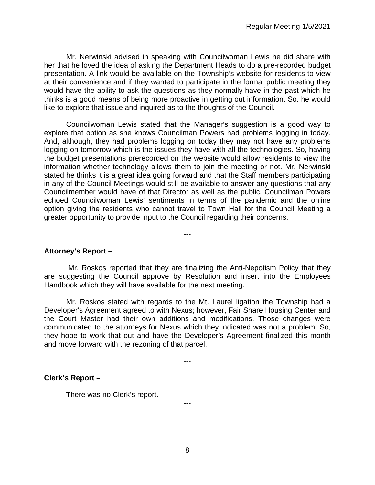Mr. Nerwinski advised in speaking with Councilwoman Lewis he did share with her that he loved the idea of asking the Department Heads to do a pre-recorded budget presentation. A link would be available on the Township's website for residents to view at their convenience and if they wanted to participate in the formal public meeting they would have the ability to ask the questions as they normally have in the past which he thinks is a good means of being more proactive in getting out information. So, he would like to explore that issue and inquired as to the thoughts of the Council.

Councilwoman Lewis stated that the Manager's suggestion is a good way to explore that option as she knows Councilman Powers had problems logging in today. And, although, they had problems logging on today they may not have any problems logging on tomorrow which is the issues they have with all the technologies. So, having the budget presentations prerecorded on the website would allow residents to view the information whether technology allows them to join the meeting or not. Mr. Nerwinski stated he thinks it is a great idea going forward and that the Staff members participating in any of the Council Meetings would still be available to answer any questions that any Councilmember would have of that Director as well as the public. Councilman Powers echoed Councilwoman Lewis' sentiments in terms of the pandemic and the online option giving the residents who cannot travel to Town Hall for the Council Meeting a greater opportunity to provide input to the Council regarding their concerns.

#### **Attorney's Report –**

Mr. Roskos reported that they are finalizing the Anti-Nepotism Policy that they are suggesting the Council approve by Resolution and insert into the Employees Handbook which they will have available for the next meeting.

---

Mr. Roskos stated with regards to the Mt. Laurel ligation the Township had a Developer's Agreement agreed to with Nexus; however, Fair Share Housing Center and the Court Master had their own additions and modifications. Those changes were communicated to the attorneys for Nexus which they indicated was not a problem. So, they hope to work that out and have the Developer's Agreement finalized this month and move forward with the rezoning of that parcel.

---

---

#### **Clerk's Report –**

There was no Clerk's report.

8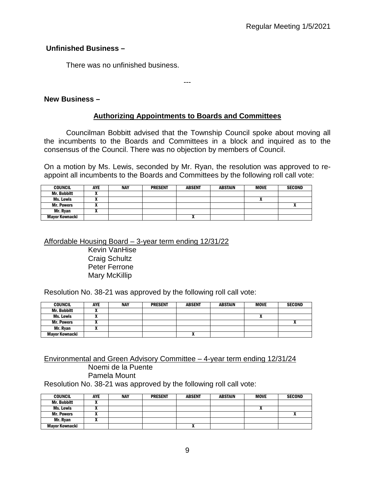### **Unfinished Business –**

There was no unfinished business.

### **New Business –**

### **Authorizing Appointments to Boards and Committees**

---

Councilman Bobbitt advised that the Township Council spoke about moving all the incumbents to the Boards and Committees in a block and inquired as to the consensus of the Council. There was no objection by members of Council.

On a motion by Ms. Lewis, seconded by Mr. Ryan, the resolution was approved to reappoint all incumbents to the Boards and Committees by the following roll call vote:

| <b>COUNCIL</b>        | <b>AYE</b> | <b>NAY</b> | <b>PRESENT</b> | <b>ABSENT</b> | <b>ABSTAIN</b> | <b>MOVE</b> | <b>SECOND</b> |
|-----------------------|------------|------------|----------------|---------------|----------------|-------------|---------------|
| <b>Mr. Bobbitt</b>    |            |            |                |               |                |             |               |
| Ms. Lewis             |            |            |                |               |                | ^           |               |
| <b>Mr. Powers</b>     |            |            |                |               |                |             |               |
| Mr. Ryan              |            |            |                |               |                |             |               |
| <b>Mavor Kownacki</b> |            |            |                |               |                |             |               |

#### Affordable Housing Board – 3-year term ending 12/31/22

Kevin VanHise Craig Schultz Peter Ferrone Mary McKillip

Resolution No. 38-21 was approved by the following roll call vote:

| <b>COUNCIL</b>        | <b>AYE</b> | <b>NAY</b> | <b>PRESENT</b> | <b>ABSENT</b> | <b>ABSTAIN</b> | <b>MOVE</b> | <b>SECOND</b> |
|-----------------------|------------|------------|----------------|---------------|----------------|-------------|---------------|
| <b>Mr. Bobbitt</b>    |            |            |                |               |                |             |               |
| Ms. Lewis             |            |            |                |               |                | "           |               |
| <b>Mr. Powers</b>     |            |            |                |               |                |             | ^             |
| Mr. Ryan              |            |            |                |               |                |             |               |
| <b>Mayor Kownacki</b> |            |            |                | "             |                |             |               |

#### Environmental and Green Advisory Committee – 4-year term ending 12/31/24 Noemi de la Puente Pamela Mount

Resolution No. 38-21 was approved by the following roll call vote:

| <b>COUNCIL</b>        | <b>AYE</b> | <b>NAY</b> | <b>PRESENT</b> | <b>ABSENT</b> | <b>ABSTAIN</b> | <b>MOVE</b> | <b>SECOND</b> |
|-----------------------|------------|------------|----------------|---------------|----------------|-------------|---------------|
| <b>Mr. Bobbitt</b>    |            |            |                |               |                |             |               |
| Ms. Lewis             | ,,         |            |                |               |                |             |               |
| <b>Mr. Powers</b>     |            |            |                |               |                |             |               |
| Mr. Rvan              |            |            |                |               |                |             |               |
| <b>Mayor Kownacki</b> |            |            |                |               |                |             |               |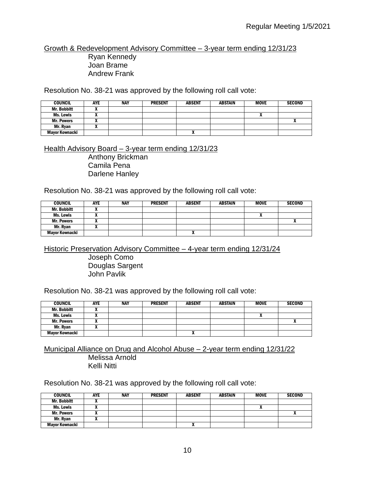Growth & Redevelopment Advisory Committee – 3-year term ending 12/31/23 Ryan Kennedy

Joan Brame Andrew Frank

Resolution No. 38-21 was approved by the following roll call vote:

| <b>COUNCIL</b>        | <b>AYE</b> | <b>NAY</b> | <b>PRESENT</b> | <b>ABSENT</b> | <b>ABSTAIN</b> | <b>MOVE</b> | <b>SECOND</b> |
|-----------------------|------------|------------|----------------|---------------|----------------|-------------|---------------|
| <b>Mr. Bobbitt</b>    |            |            |                |               |                |             |               |
| Ms. Lewis             |            |            |                |               |                |             |               |
| <b>Mr. Powers</b>     |            |            |                |               |                |             |               |
| Mr. Rvan              |            |            |                |               |                |             |               |
| <b>Mayor Kownacki</b> |            |            |                | Λ             |                |             |               |

Health Advisory Board – 3-year term ending 12/31/23

Anthony Brickman Camila Pena Darlene Hanley

Resolution No. 38-21 was approved by the following roll call vote:

| <b>COUNCIL</b>     | <b>AYE</b> | NAY | <b>PRESENT</b> | <b>ABSENT</b>            | <b>ABSTAIN</b> | <b>MOVE</b> | <b>SECOND</b> |
|--------------------|------------|-----|----------------|--------------------------|----------------|-------------|---------------|
| <b>Mr. Bobbitt</b> | ,,         |     |                |                          |                |             |               |
| Ms. Lewis          | ,,         |     |                |                          |                |             |               |
| <b>Mr. Powers</b>  |            |     |                |                          |                |             |               |
| Mr. Ryan           |            |     |                |                          |                |             |               |
| Mayor Kownacki     |            |     |                | $\overline{\phantom{a}}$ |                |             |               |

Historic Preservation Advisory Committee – 4-year term ending 12/31/24

Joseph Como Douglas Sargent John Pavlik

Resolution No. 38-21 was approved by the following roll call vote:

| <b>COUNCIL</b>     | <b>AYE</b> | <b>NAY</b> | <b>PRESENT</b> | <b>ABSENT</b> | <b>ABSTAIN</b> | <b>MOVE</b> | <b>SECOND</b> |
|--------------------|------------|------------|----------------|---------------|----------------|-------------|---------------|
| <b>Mr. Bobbitt</b> |            |            |                |               |                |             |               |
| Ms. Lewis          |            |            |                |               |                |             |               |
| <b>Mr. Powers</b>  |            |            |                |               |                |             |               |
| Mr. Ryan           |            |            |                |               |                |             |               |
| Mayor Kownacki     |            |            |                | "             |                |             |               |

Municipal Alliance on Drug and Alcohol Abuse – 2-year term ending 12/31/22 Melissa Arnold Kelli Nitti

Resolution No. 38-21 was approved by the following roll call vote:

| <b>COUNCIL</b>        | <b>AYE</b> | <b>NAY</b> | <b>PRESENT</b> | <b>ABSENT</b> | <b>ABSTAIN</b> | <b>MOVE</b> | <b>SECOND</b> |
|-----------------------|------------|------------|----------------|---------------|----------------|-------------|---------------|
| <b>Mr. Bobbitt</b>    |            |            |                |               |                |             |               |
| Ms. Lewis             |            |            |                |               |                |             |               |
| <b>Mr. Powers</b>     |            |            |                |               |                |             |               |
| Mr. Rvan              |            |            |                |               |                |             |               |
| <b>Mayor Kownacki</b> |            |            |                |               |                |             |               |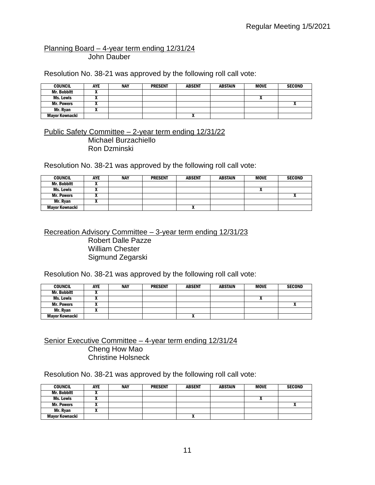#### Planning Board – 4-year term ending 12/31/24 John Dauber

Resolution No. 38-21 was approved by the following roll call vote:

| <b>COUNCIL</b>     | AYE | <b>NAY</b> | <b>PRESENT</b> | <b>ABSENT</b> | <b>ABSTAIN</b> | <b>MOVE</b> | <b>SECOND</b> |
|--------------------|-----|------------|----------------|---------------|----------------|-------------|---------------|
| <b>Mr. Bobbitt</b> |     |            |                |               |                |             |               |
| Ms. Lewis          |     |            |                |               |                |             |               |
| <b>Mr. Powers</b>  |     |            |                |               |                |             |               |
| Mr. Ryan           |     |            |                |               |                |             |               |
| Mayor Kownacki     |     |            |                |               |                |             |               |

Public Safety Committee – 2-year term ending 12/31/22 Michael Burzachiello Ron Dzminski

Resolution No. 38-21 was approved by the following roll call vote:

| <b>COUNCIL</b>     | <b>AYE</b> | <b>NAY</b> | <b>PRESENT</b> | <b>ABSENT</b> | <b>ABSTAIN</b> | <b>MOVE</b> | <b>SECOND</b> |
|--------------------|------------|------------|----------------|---------------|----------------|-------------|---------------|
| <b>Mr. Bobbitt</b> |            |            |                |               |                |             |               |
| Ms. Lewis          |            |            |                |               |                |             |               |
| <b>Mr. Powers</b>  |            |            |                |               |                |             | ^             |
| Mr. Ryan           |            |            |                |               |                |             |               |
| Mayor Kownacki     |            |            |                | "             |                |             |               |

Recreation Advisory Committee – 3-year term ending 12/31/23

Robert Dalle Pazze William Chester Sigmund Zegarski

Resolution No. 38-21 was approved by the following roll call vote:

| <b>COUNCIL</b>     | AYE | <b>NAY</b> | <b>PRESENT</b> | <b>ABSENT</b> | <b>ABSTAIN</b> | <b>MOVE</b>                | <b>SECOND</b> |
|--------------------|-----|------------|----------------|---------------|----------------|----------------------------|---------------|
| <b>Mr. Bobbitt</b> |     |            |                |               |                |                            |               |
| Ms. Lewis          |     |            |                |               |                | $\boldsymbol{\mathcal{L}}$ |               |
| <b>Mr. Powers</b>  |     |            |                |               |                |                            |               |
| Mr. Ryan           |     |            |                |               |                |                            |               |
| Mayor Kownacki     |     |            |                |               |                |                            |               |

Senior Executive Committee – 4-year term ending 12/31/24 Cheng How Mao Christine Holsneck

Resolution No. 38-21 was approved by the following roll call vote:

| <b>COUNCIL</b>     | AYE | <b>NAY</b> | <b>PRESENT</b> | <b>ABSENT</b> | <b>ABSTAIN</b> | <b>MOVE</b> | <b>SECOND</b> |
|--------------------|-----|------------|----------------|---------------|----------------|-------------|---------------|
| <b>Mr. Bobbitt</b> |     |            |                |               |                |             |               |
| Ms. Lewis          |     |            |                |               |                |             |               |
| <b>Mr. Powers</b>  |     |            |                |               |                |             |               |
| Mr. Ryan           |     |            |                |               |                |             |               |
| Mayor Kownacki     |     |            |                | "             |                |             |               |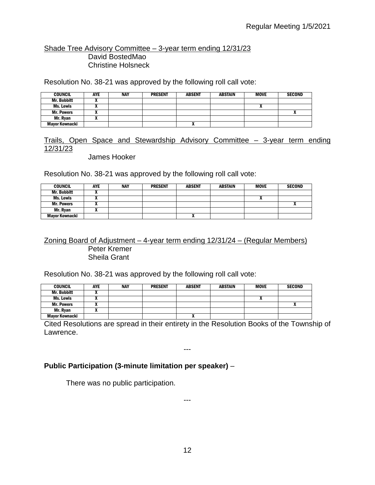#### Shade Tree Advisory Committee – 3-year term ending 12/31/23 David BostedMao Christine Holsneck

Resolution No. 38-21 was approved by the following roll call vote:

| <b>COUNCIL</b>        | AYE | NAY | <b>PRESENT</b> | <b>ABSENT</b> | <b>ABSTAIN</b> | <b>MOVE</b> | <b>SECOND</b> |
|-----------------------|-----|-----|----------------|---------------|----------------|-------------|---------------|
| <b>Mr. Bobbitt</b>    |     |     |                |               |                |             |               |
| Ms. Lewis             |     |     |                |               |                | n           |               |
| <b>Mr. Powers</b>     | ,,  |     |                |               |                |             |               |
| Mr. Rvan              |     |     |                |               |                |             |               |
| <b>Mavor Kownacki</b> |     |     |                | $\mathbf{v}$  |                |             |               |

## Trails, Open Space and Stewardship Advisory Committee – 3-year term ending 12/31/23

James Hooker

Resolution No. 38-21 was approved by the following roll call vote:

| <b>COUNCIL</b>     | <b>AYE</b> | <b>NAY</b> | <b>PRESENT</b> | <b>ABSENT</b> | ABSTAIN | <b>MOVE</b> | <b>SECOND</b> |
|--------------------|------------|------------|----------------|---------------|---------|-------------|---------------|
| <b>Mr. Bobbitt</b> |            |            |                |               |         |             |               |
| Ms. Lewis          | ,,         |            |                |               |         | "           |               |
| <b>Mr. Powers</b>  | ,,,        |            |                |               |         |             |               |
| Mr. Ryan           |            |            |                |               |         |             |               |
| Mayor Kownacki     |            |            |                | $\mathbf{r}$  |         |             |               |

#### Zoning Board of Adjustment – 4-year term ending 12/31/24 – (Regular Members) Peter Kremer Sheila Grant

Resolution No. 38-21 was approved by the following roll call vote:

| <b>COUNCIL</b>     | AYE | <b>NAY</b> | <b>PRESENT</b> | <b>ABSENT</b> | <b>ABSTAIN</b> | <b>MOVE</b> | <b>SECOND</b> |
|--------------------|-----|------------|----------------|---------------|----------------|-------------|---------------|
| <b>Mr. Bobbitt</b> |     |            |                |               |                |             |               |
| Ms. Lewis          |     |            |                |               |                |             |               |
| <b>Mr. Powers</b>  | ,,  |            |                |               |                |             |               |
| Mr. Ryan           | ,,  |            |                |               |                |             |               |
| Mayor Kownacki     |     |            |                |               |                |             |               |

Cited Resolutions are spread in their entirety in the Resolution Books of the Township of Lawrence.

---

## **Public Participation (3-minute limitation per speaker)** –

There was no public participation.

---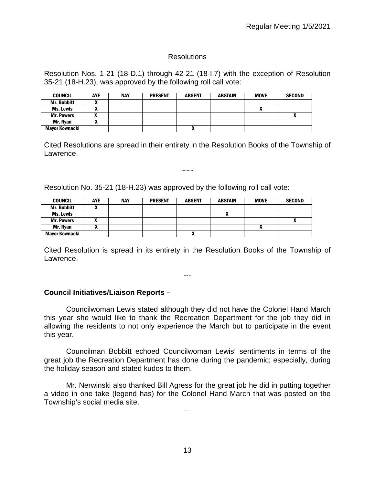#### Resolutions

Resolution Nos. 1-21 (18-D.1) through 42-21 (18-I.7) with the exception of Resolution 35-21 (18-H.23), was approved by the following roll call vote:

| <b>COUNCIL</b>        | <b>AYE</b> | <b>NAY</b> | <b>PRESENT</b> | <b>ABSENT</b> | <b>ABSTAIN</b> | <b>MOVE</b> | <b>SECOND</b> |
|-----------------------|------------|------------|----------------|---------------|----------------|-------------|---------------|
| <b>Mr. Bobbitt</b>    |            |            |                |               |                |             |               |
| <b>Ms. Lewis</b>      |            |            |                |               |                | n           |               |
| <b>Mr. Powers</b>     |            |            |                |               |                |             |               |
| Mr. Ryan              | л          |            |                |               |                |             |               |
| <b>Mayor Kownacki</b> |            |            |                | $\mathbf{r}$  |                |             |               |

Cited Resolutions are spread in their entirety in the Resolution Books of the Township of Lawrence.

~~~

Resolution No. 35-21 (18-H.23) was approved by the following roll call vote:

| <b>COUNCIL</b>     | <b>AYE</b> | <b>NAY</b> | <b>PRESENT</b> | <b>ABSENT</b> | <b>ABSTAIN</b> | <b>MOVE</b>  | <b>SECOND</b> |
|--------------------|------------|------------|----------------|---------------|----------------|--------------|---------------|
| <b>Mr. Bobbitt</b> |            |            |                |               |                |              |               |
| Ms. Lewis          |            |            |                |               |                |              |               |
| <b>Mr. Powers</b>  |            |            |                |               |                |              |               |
| Mr. Ryan           |            |            |                |               |                | $\mathbf{v}$ |               |
| Mayor Kownacki     |            |            |                | Λ             |                |              |               |

Cited Resolution is spread in its entirety in the Resolution Books of the Township of Lawrence.

---

#### **Council Initiatives/Liaison Reports –**

Councilwoman Lewis stated although they did not have the Colonel Hand March this year she would like to thank the Recreation Department for the job they did in allowing the residents to not only experience the March but to participate in the event this year.

Councilman Bobbitt echoed Councilwoman Lewis' sentiments in terms of the great job the Recreation Department has done during the pandemic; especially, during the holiday season and stated kudos to them.

Mr. Nerwinski also thanked Bill Agress for the great job he did in putting together a video in one take (legend has) for the Colonel Hand March that was posted on the Township's social media site.

---